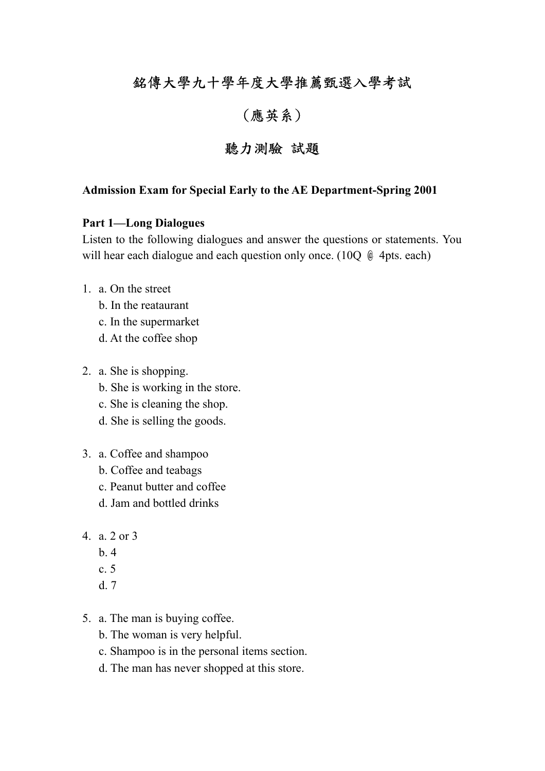# 銘傳大學九十學年度大學推薦甄選入學考試

## (應英系)

## 聽力測驗 試題

#### **Admission Exam for Special Early to the AE Department-Spring 2001**

#### **Part 1—Long Dialogues**

Listen to the following dialogues and answer the questions or statements. You will hear each dialogue and each question only once. (10 $\sigma$   $\phi$  4pts. each)

- 1. a. On the street
	- b. In the reataurant
	- c. In the supermarket
	- d. At the coffee shop
- 2. a. She is shopping.
	- b. She is working in the store.
	- c. She is cleaning the shop.
	- d. She is selling the goods.
- 3. a. Coffee and shampoo
	- b. Coffee and teabags
	- c. Peanut butter and coffee
	- d. Jam and bottled drinks
- 4. a. 2 or 3
	- $h.4$
	- c. 5
	- d. 7
- 5. a. The man is buying coffee.
	- b. The woman is very helpful.
	- c. Shampoo is in the personal items section.
	- d. The man has never shopped at this store.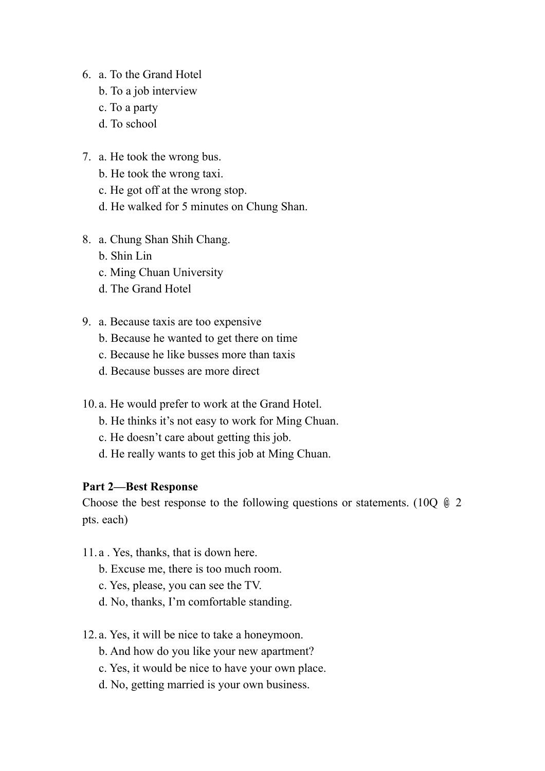- 6. a. To the Grand Hotel
	- b. To a job interview
	- c. To a party
	- d. To school
- 7. a. He took the wrong bus.
	- b. He took the wrong taxi.
	- c. He got off at the wrong stop.
	- d. He walked for 5 minutes on Chung Shan.
- 8. a. Chung Shan Shih Chang.
	- b. Shin Lin
	- c. Ming Chuan University
	- d. The Grand Hotel
- 9. a. Because taxis are too expensive
	- b. Because he wanted to get there on time
	- c. Because he like busses more than taxis
	- d. Because busses are more direct
- 10. a. He would prefer to work at the Grand Hotel.
	- b. He thinks it's not easy to work for Ming Chuan.
	- c. He doesn't care about getting this job.
	- d. He really wants to get this job at Ming Chuan.

### **Part 2—Best Response**

Choose the best response to the following questions or statements. (10Q  $\&$  2 pts. each)

- 11. a . Yes, thanks, that is down here.
	- b. Excuse me, there is too much room.
	- c. Yes, please, you can see the TV.
	- d. No, thanks, I'm comfortable standing.
- 12. a. Yes, it will be nice to take a honeymoon.
	- b. And how do you like your new apartment?
	- c. Yes, it would be nice to have your own place.
	- d. No, getting married is your own business.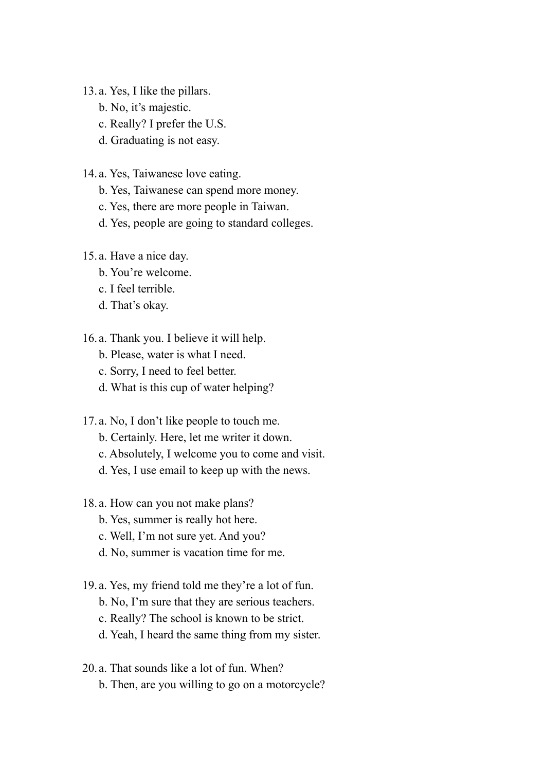- 13. a. Yes, I like the pillars.
	- b. No, it's majestic.
	- c. Really? I prefer the U.S.
	- d. Graduating is not easy.
- 14. a. Yes, Taiwanese love eating.
	- b. Yes, Taiwanese can spend more money.
	- c. Yes, there are more people in Taiwan.
	- d. Yes, people are going to standard colleges.
- 15. a. Have a nice day.
	- b. You're welcome.
	- c. I feel terrible.
	- d. That's okay.
- 16. a. Thank you. I believe it will help.
	- b. Please, water is what I need.
	- c. Sorry, I need to feel better.
	- d. What is this cup of water helping?
- 17. a. No, I don't like people to touch me.
	- b. Certainly. Here, let me writer it down.
	- c. Absolutely, I welcome you to come and visit.
	- d. Yes, I use email to keep up with the news.
- 18. a. How can you not make plans?
	- b. Yes, summer is really hot here.
	- c. Well, I'm not sure yet. And you?
	- d. No, summer is vacation time for me.
- 19. a. Yes, my friend told me they're a lot of fun.
	- b. No, I'm sure that they are serious teachers.
	- c. Really? The school is known to be strict.
	- d. Yeah, I heard the same thing from my sister.
- 20. a. That sounds like a lot of fun. When?
	- b. Then, are you willing to go on a motorcycle?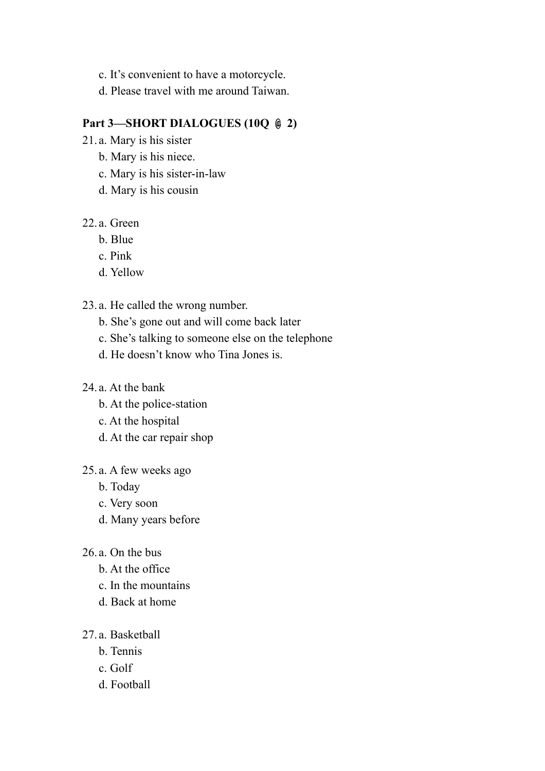- c. It's convenient to have a motorcycle.
- d. Please travel with me around Taiwan.

### **Part 3—SHORT DIALOGUES (10Q**  $\oplus$  **2)**

- 21. a. Mary is his sister
	- b. Mary is his niece.
	- c. Mary is his sister-in-law
	- d. Mary is his cousin

### 22. a. Green

- b. Blue
- c. Pink
- d. Yellow

### 23. a. He called the wrong number.

- b. She's gone out and will come back later
- c. She's talking to someone else on the telephone
- d. He doesn't know who Tina Jones is.

### 24. a. At the bank

- b. At the police-station
- c. At the hospital
- d. At the car repair shop

### 25. a. A few weeks ago

- b. Today
- c. Very soon
- d. Many years before
- 26. a. On the bus
	- b. At the office
	- c. In the mountains
	- d. Back at home

### 27. a. Basketball

- b. Tennis
- c. Golf
- d. Football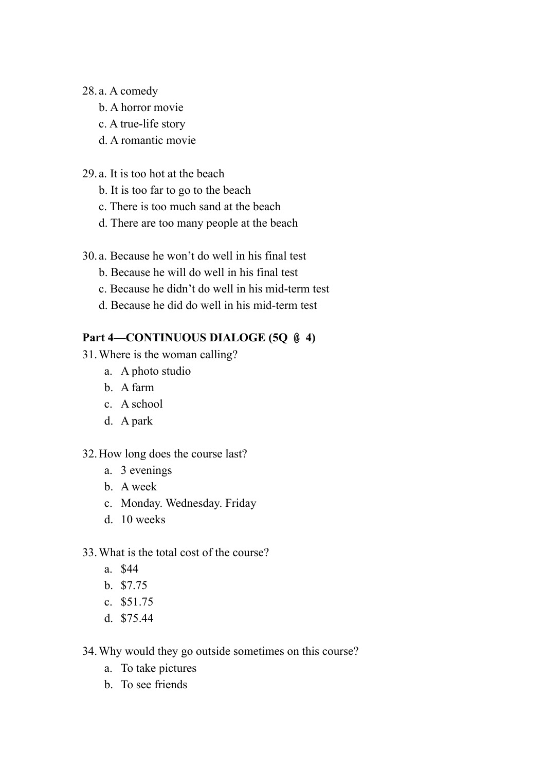### 28. a. A comedy

- b. A horror movie
- c. A true-life story
- d. A romantic movie
- 29. a. It is too hot at the beach
	- b. It is too far to go to the beach
	- c. There is too much sand at the beach
	- d. There are too many people at the beach
- 30. a. Because he won't do well in his final test
	- b. Because he will do well in his final test
	- c. Because he didn't do well in his mid-term test
	- d. Because he did do well in his mid-term test

### **Part 4—CONTINUOUS DIALOGE (5Q**  $\&$  **4)**

- 31.Where is the woman calling?
	- a. A photo studio
	- b. A farm
	- c. A school
	- d. A park

### 32.How long does the course last?

- a. 3 evenings
- b. A week
- c. Monday. Wednesday. Friday
- d. 10 weeks

### 33.What is the total cost of the course?

- a. \$44
- b. \$7.75
- c. \$51.75
- d. \$75.44
- 34.Why would they go outside sometimes on this course?
	- a. To take pictures
	- b. To see friends